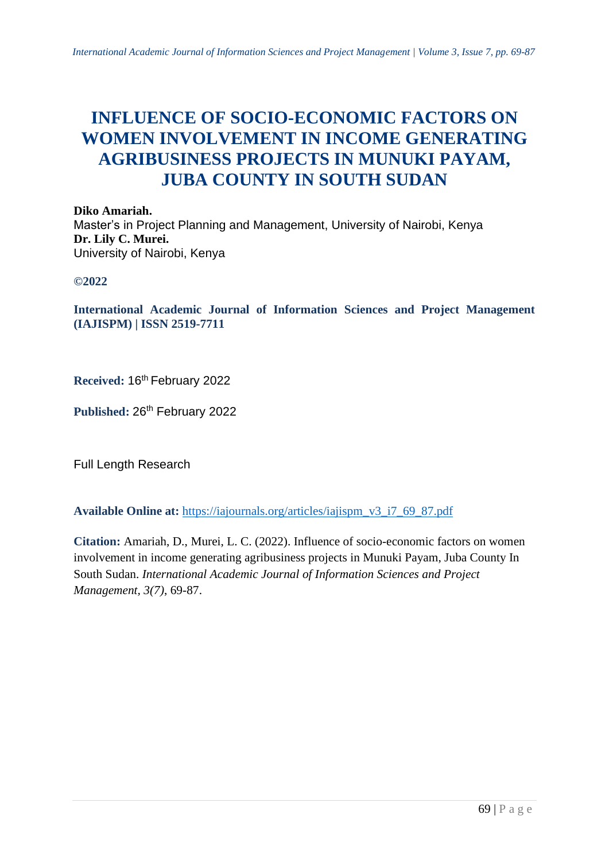# **INFLUENCE OF SOCIO-ECONOMIC FACTORS ON WOMEN INVOLVEMENT IN INCOME GENERATING AGRIBUSINESS PROJECTS IN MUNUKI PAYAM, JUBA COUNTY IN SOUTH SUDAN**

**Diko Amariah.** Master's in Project Planning and Management, University of Nairobi, Kenya **Dr. Lily C. Murei.** University of Nairobi, Kenya

**©2022**

**International Academic Journal of Information Sciences and Project Management (IAJISPM) | ISSN 2519-7711**

**Received:** 16th February 2022

Published: 26<sup>th</sup> February 2022

Full Length Research

**Available Online at:** [https://iajournals.org/articles/iajispm\\_v3\\_i7\\_69\\_87.pdf](https://iajournals.org/articles/iajispm_v3_i7_69_87.pdf)

**Citation:** Amariah, D., Murei, L. C. (2022). Influence of socio-economic factors on women involvement in income generating agribusiness projects in Munuki Payam, Juba County In South Sudan. *International Academic Journal of Information Sciences and Project Management, 3(7)*, 69-87.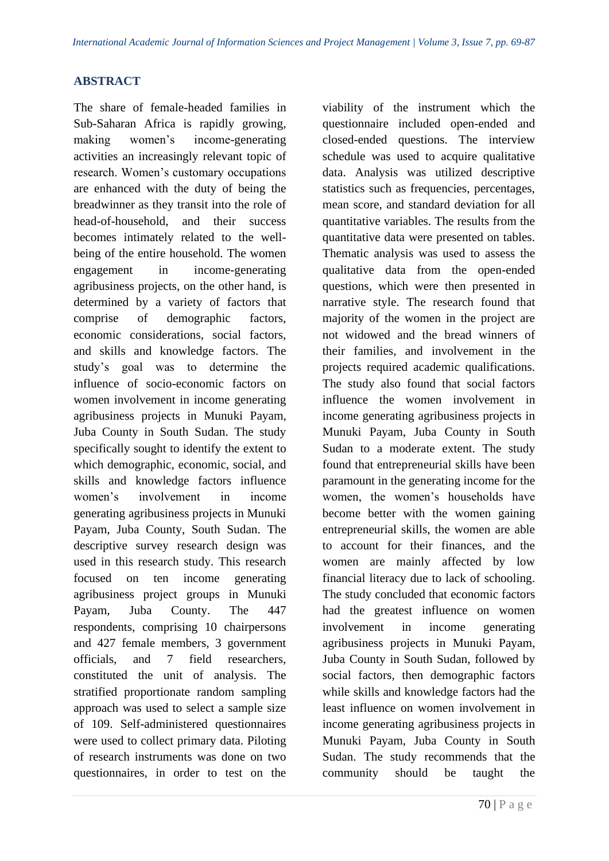#### **ABSTRACT**

The share of female-headed families in Sub-Saharan Africa is rapidly growing, making women's income-generating activities an increasingly relevant topic of research. Women's customary occupations are enhanced with the duty of being the breadwinner as they transit into the role of head-of-household, and their success becomes intimately related to the wellbeing of the entire household. The women engagement in income-generating agribusiness projects, on the other hand, is determined by a variety of factors that comprise of demographic factors, economic considerations, social factors, and skills and knowledge factors. The study's goal was to determine the influence of socio-economic factors on women involvement in income generating agribusiness projects in Munuki Payam, Juba County in South Sudan. The study specifically sought to identify the extent to which demographic, economic, social, and skills and knowledge factors influence women's involvement in income generating agribusiness projects in Munuki Payam, Juba County, South Sudan. The descriptive survey research design was used in this research study. This research focused on ten income generating agribusiness project groups in Munuki Payam, Juba County. The 447 respondents, comprising 10 chairpersons and 427 female members, 3 government officials, and 7 field researchers, constituted the unit of analysis. The stratified proportionate random sampling approach was used to select a sample size of 109. Self-administered questionnaires were used to collect primary data. Piloting of research instruments was done on two questionnaires, in order to test on the

viability of the instrument which the questionnaire included open-ended and closed-ended questions. The interview schedule was used to acquire qualitative data. Analysis was utilized descriptive statistics such as frequencies, percentages, mean score, and standard deviation for all quantitative variables. The results from the quantitative data were presented on tables. Thematic analysis was used to assess the qualitative data from the open-ended questions, which were then presented in narrative style. The research found that majority of the women in the project are not widowed and the bread winners of their families, and involvement in the projects required academic qualifications. The study also found that social factors influence the women involvement in income generating agribusiness projects in Munuki Payam, Juba County in South Sudan to a moderate extent. The study found that entrepreneurial skills have been paramount in the generating income for the women, the women's households have become better with the women gaining entrepreneurial skills, the women are able to account for their finances, and the women are mainly affected by low financial literacy due to lack of schooling. The study concluded that economic factors had the greatest influence on women involvement in income generating agribusiness projects in Munuki Payam, Juba County in South Sudan, followed by social factors, then demographic factors while skills and knowledge factors had the least influence on women involvement in income generating agribusiness projects in Munuki Payam, Juba County in South Sudan. The study recommends that the community should be taught the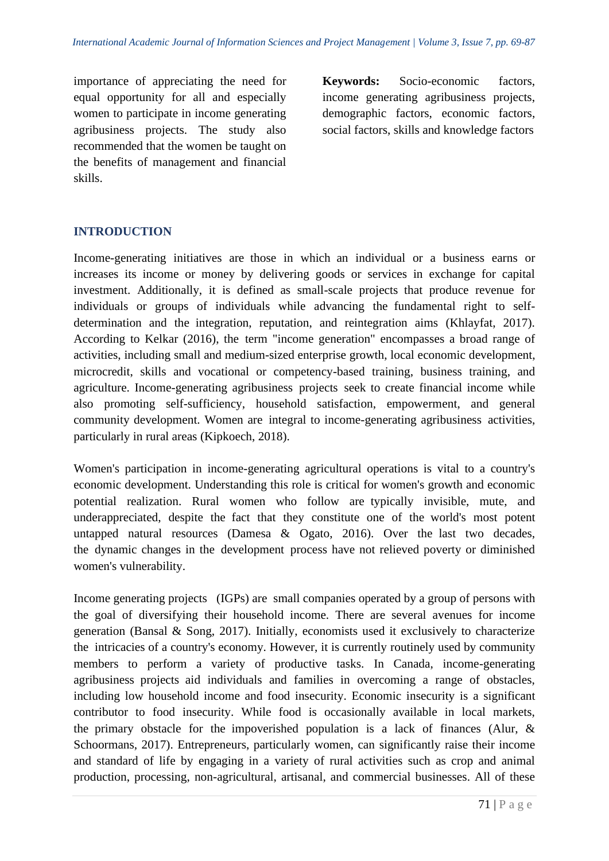importance of appreciating the need for equal opportunity for all and especially women to participate in income generating agribusiness projects. The study also recommended that the women be taught on the benefits of management and financial skills.

**Keywords:** Socio-economic factors, income generating agribusiness projects, demographic factors, economic factors, social factors, skills and knowledge factors

# **INTRODUCTION**

Income-generating initiatives are those in which an individual or a business earns or increases its income or money by delivering goods or services in exchange for capital investment. Additionally, it is defined as small-scale projects that produce revenue for individuals or groups of individuals while advancing the fundamental right to selfdetermination and the integration, reputation, and reintegration aims (Khlayfat, 2017). According to Kelkar  $(2016)$ , the term "income generation" encompasses a broad range of activities, including small and medium-sized enterprise growth, local economic development, microcredit, skills and vocational or competency-based training, business training, and agriculture. Income-generating agribusiness projects seek to create financial income while also promoting self-sufficiency, household satisfaction, empowerment, and general community development. Women are integral to income-generating agribusiness activities, particularly in rural areas (Kipkoech, 2018).

Women's participation in income-generating agricultural operations is vital to a country's economic development. Understanding this role is critical for women's growth and economic potential realization. Rural women who follow are typically invisible, mute, and underappreciated, despite the fact that they constitute one of the world's most potent untapped natural resources (Damesa  $\&$  Ogato, 2016). Over the last two decades, the dynamic changes in the development process have not relieved poverty or diminished women's vulnerability.

Income generating projects (IGPs) are small companies operated by a group of persons with the goal of diversifying their household income. There are several avenues for income generation (Bansal & Song, 2017). Initially, economists used it exclusively to characterize the intricacies of a country's economy. However, it is currently routinely used by community members to perform a variety of productive tasks. In Canada, income-generating agribusiness projects aid individuals and families in overcoming a range of obstacles, including low household income and food insecurity. Economic insecurity is a significant contributor to food insecurity. While food is occasionally available in local markets, the primary obstacle for the impoverished population is a lack of finances (Alur,  $\&$ Schoormans, 2017). Entrepreneurs, particularly women, can significantly raise their income and standard of life by engaging in a variety of rural activities such as crop and animal production, processing, non-agricultural, artisanal, and commercial businesses. All of these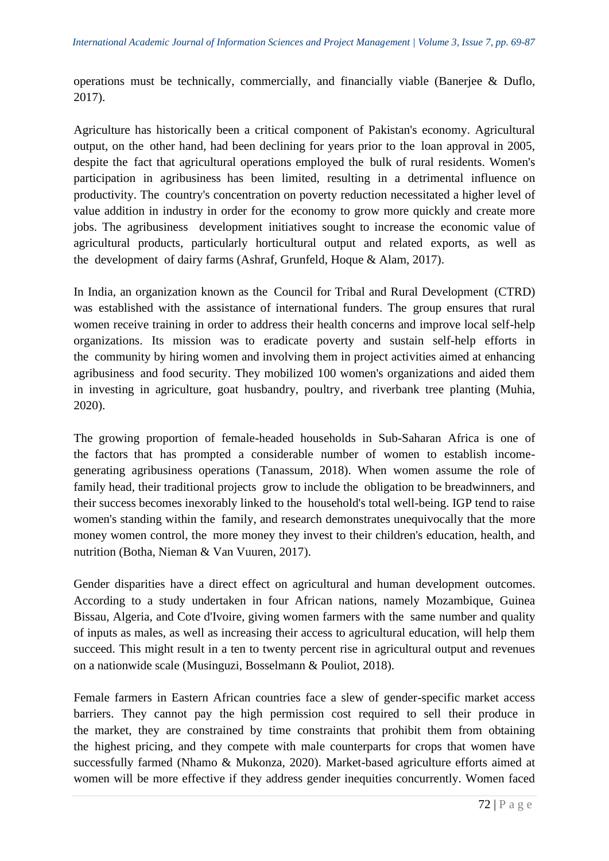operations must be technically, commercially, and financially viable (Banerjee & Duflo, 2017).

Agriculture has historically been a critical component of Pakistan's economy. Agricultural output, on the other hand, had been declining for years prior to the loan approval in 2005, despite the fact that agricultural operations employed the bulk of rural residents. Women's participation in agribusiness has been limited, resulting in a detrimental influence on productivity. The country's concentration on poverty reduction necessitated a higher level of value addition in industry in order for the economy to grow more quickly and create more jobs. The agribusiness development initiatives sought to increase the economic value of agricultural products, particularly horticultural output and related exports, as well as the development of dairy farms (Ashraf, Grunfeld, Hoque & Alam, 2017).

In India, an organization known as the Council for Tribal and Rural Development (CTRD) was established with the assistance of international funders. The group ensures that rural women receive training in order to address their health concerns and improve local self-help organizations. Its mission was to eradicate poverty and sustain self-help efforts in the community by hiring women and involving them in project activities aimed at enhancing agribusiness and food security. They mobilized 100 women's organizations and aided them in investing in agriculture, goat husbandry, poultry, and riverbank tree planting (Muhia, 2020).

The growing proportion of female-headed households in Sub-Saharan Africa is one of the factors that has prompted a considerable number of women to establish incomegenerating agribusiness operations (Tanassum, 2018). When women assume the role of family head, their traditional projects grow to include the obligation to be breadwinners, and their success becomes inexorably linked to the household's total well-being. IGP tend to raise women's standing within the family, and research demonstrates unequivocally that the more money women control, the more money they invest to their children's education, health, and nutrition (Botha, Nieman & Van Vuuren, 2017).

Gender disparities have a direct effect on agricultural and human development outcomes. According to a study undertaken in four African nations, namely Mozambique, Guinea Bissau, Algeria, and Cote d'Ivoire, giving women farmers with the same number and quality of inputs as males, as well as increasing their access to agricultural education, will help them succeed. This might result in a ten to twenty percent rise in agricultural output and revenues on a nationwide scale (Musinguzi, Bosselmann & Pouliot, 2018).

Female farmers in Eastern African countries face a slew of gender-specific market access barriers. They cannot pay the high permission cost required to sell their produce in the market, they are constrained by time constraints that prohibit them from obtaining the highest pricing, and they compete with male counterparts for crops that women have successfully farmed (Nhamo & Mukonza, 2020). Market-based agriculture efforts aimed at women will be more effective if they address gender inequities concurrently. Women faced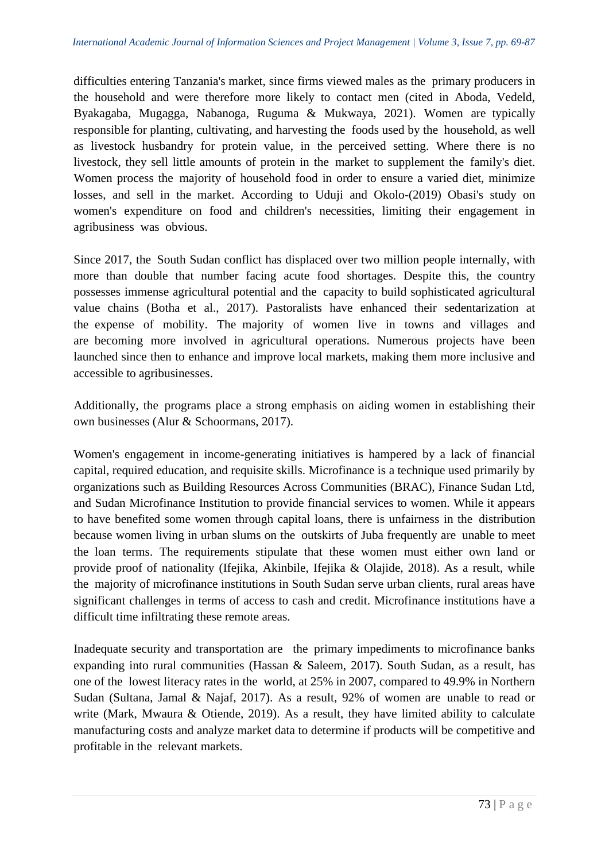difficulties entering Tanzania's market, since firms viewed males as the primary producers in the household and were therefore more likely to contact men (cited in Aboda, Vedeld, Byakagaba, Mugagga, Nabanoga, Ruguma & Mukwaya, 2021). Women are typically responsible for planting, cultivating, and harvesting the foods used by the household, as well as livestock husbandry for protein value, in the perceived setting. Where there is no livestock, they sell little amounts of protein in the market to supplement the family's diet. Women process the majority of household food in order to ensure a varied diet, minimize losses, and sell in the market. According to Uduji and Okolo-(2019) Obasi's study on women's expenditure on food and children's necessities, limiting their engagement in agribusiness was obvious.

Since 2017, the South Sudan conflict has displaced over two million people internally, with more than double that number facing acute food shortages. Despite this, the country possesses immense agricultural potential and the capacity to build sophisticated agricultural value chains (Botha et al., 2017). Pastoralists have enhanced their sedentarization at the expense of mobility. The majority of women live in towns and villages and are becoming more involved in agricultural operations. Numerous projects have been launched since then to enhance and improve local markets, making them more inclusive and accessible to agribusinesses.

Additionally, the programs place a strong emphasis on aiding women in establishing their own businesses (Alur & Schoormans, 2017).

Women's engagement in income-generating initiatives is hampered by a lack of financial capital, required education, and requisite skills. Microfinance is a technique used primarily by organizations such as Building Resources Across Communities (BRAC), Finance Sudan Ltd, and Sudan Microfinance Institution to provide financial services to women. While it appears to have benefited some women through capital loans, there is unfairness in the distribution because women living in urban slums on the outskirts of Juba frequently are unable to meet the loan terms. The requirements stipulate that these women must either own land or provide proof of nationality (Ifejika, Akinbile, Ifejika & Olajide, 2018). As a result, while the majority of microfinance institutions in South Sudan serve urban clients, rural areas have significant challenges in terms of access to cash and credit. Microfinance institutions have a difficult time infiltrating these remote areas.

Inadequate security and transportation are the primary impediments to microfinance banks expanding into rural communities (Hassan & Saleem, 2017). South Sudan, as a result, has one of the lowest literacy rates in the world, at 25% in 2007, compared to 49.9% in Northern Sudan (Sultana, Jamal & Najaf, 2017). As a result,  $92\%$  of women are unable to read or write (Mark, Mwaura & Otiende, 2019). As a result, they have limited ability to calculate manufacturing costs and analyze market data to determine if products will be competitive and profitable in the relevant markets.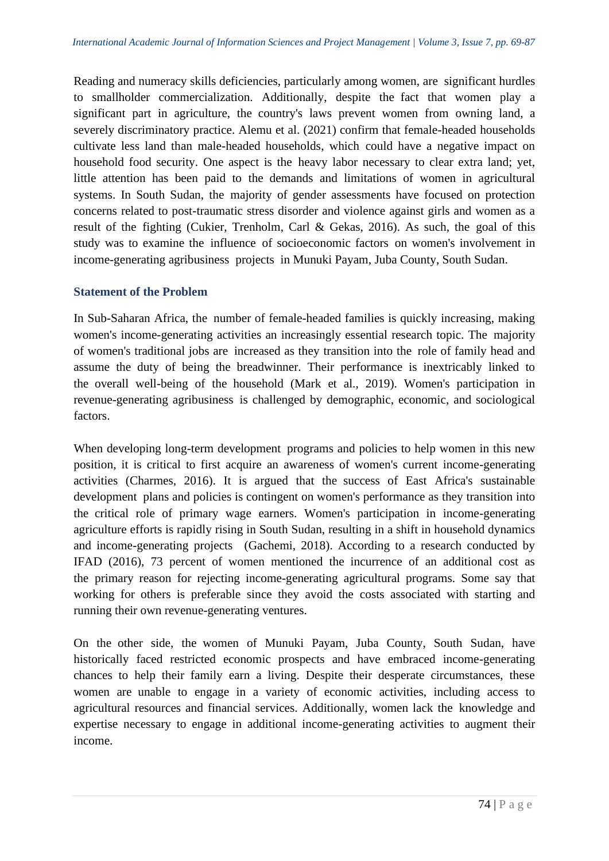Reading and numeracy skills deficiencies, particularly among women, are significant hurdles to smallholder commercialization. Additionally, despite the fact that women play a significant part in agriculture, the country's laws prevent women from owning land, a severely discriminatory practice. Alemu et al. (2021) confirm that female-headed households cultivate less land than male-headed households, which could have a negative impact on household food security. One aspect is the heavy labor necessary to clear extra land; yet, little attention has been paid to the demands and limitations of women in agricultural systems. In South Sudan, the majority of gender assessments have focused on protection concerns related to post-traumatic stress disorder and violence against girls and women as a result of the fighting (Cukier, Trenholm, Carl & Gekas, 2016). As such, the goal of this study was to examine the influence of socioeconomic factors on women's involvement in income-generating agribusiness projects in Munuki Payam, Juba County, South Sudan.

#### **Statement of the Problem**

In Sub-Saharan Africa, the number of female-headed families is quickly increasing, making women's income-generating activities an increasingly essential research topic. The majority of women's traditional jobs are increased as they transition into the role of family head and assume the duty of being the breadwinner. Their performance is inextricably linked to the overall well-being of the household (Mark et al., 2019). Women's participation in revenue-generating agribusiness is challenged by demographic, economic, and sociological factors.

When developing long-term development programs and policies to help women in this new position, it is critical to first acquire an awareness of women's current income-generating activities (Charmes,  $2016$ ). It is argued that the success of East Africa's sustainable development plans and policies is contingent on women's performance as they transition into the critical role of primary wage earners. Women's participation in income-generating agriculture efforts is rapidly rising in South Sudan, resulting in a shift in household dynamics and income-generating projects (Gachemi, 2018). According to a research conducted by IFAD (2016), 73 percent of women mentioned the incurrence of an additional cost as the primary reason for rejecting income-generating agricultural programs. Some say that working for others is preferable since they avoid the costs associated with starting and running their own revenue-generating ventures.

On the other side, the women of Munuki Payam, Juba County, South Sudan, have historically faced restricted economic prospects and have embraced income-generating chances to help their family earn a living. Despite their desperate circumstances, these women are unable to engage in a variety of economic activities, including access to agricultural resources and financial services. Additionally, women lack the knowledge and expertise necessary to engage in additional income-generating activities to augment their income.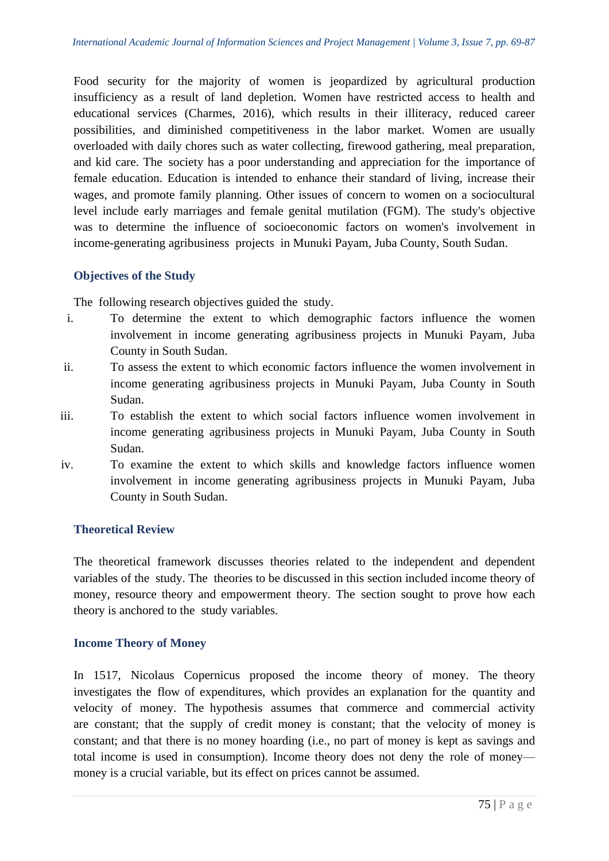Food security for the majority of women is jeopardized by agricultural production insufficiency as a result of land depletion. Women have restricted access to health and educational services (Charmes, 2016), which results in their illiteracy, reduced career possibilities, and diminished competitiveness in the labor market. Women are usually overloaded with daily chores such as water collecting, firewood gathering, meal preparation, and kid care. The society has a poor understanding and appreciation for the importance of female education. Education is intended to enhance their standard of living, increase their wages, and promote family planning. Other issues of concern to women on a sociocultural level include early marriages and female genital mutilation (FGM). The study's objective was to determine the influence of socioeconomic factors on women's involvement in income-generating agribusiness projects in Munuki Payam, Juba County, South Sudan.

#### **Objectives of the Study**

The following research objectives guided the study.

- i. To determine the extent to which demographic factors influence the women involvement in income generating agribusiness projects in Munuki Payam, Juba County in South Sudan.
- ii. To assess the extent to which economic factors influence the women involvement in income generating agribusiness projects in Munuki Payam, Juba County in South Sudan.
- iii. To establish the extent to which social factors influence women involvement in income generating agribusiness projects in Munuki Payam, Juba County in South Sudan.
- iv. To examine the extent to which skills and knowledge factors influence women involvement in income generating agribusiness projects in Munuki Payam, Juba County in South Sudan.

#### **Theoretical Review**

The theoretical framework discusses theories related to the independent and dependent variables of the study. The theories to be discussed in this section included income theory of money, resource theory and empowerment theory. The section sought to prove how each theory is anchored to the study variables.

#### **Income Theory of Money**

In 1517, Nicolaus Copernicus proposed the income theory of money. The theory investigates the flow of expenditures, which provides an explanation for the quantity and velocity of money. The hypothesis assumes that commerce and commercial activity are constant; that the supply of credit money is constant; that the velocity of money is constant; and that there is no money hoarding (i.e., no part of money is kept as savings and total income is used in consumption). Income theory does not deny the role of money money is a crucial variable, but its effect on prices cannot be assumed.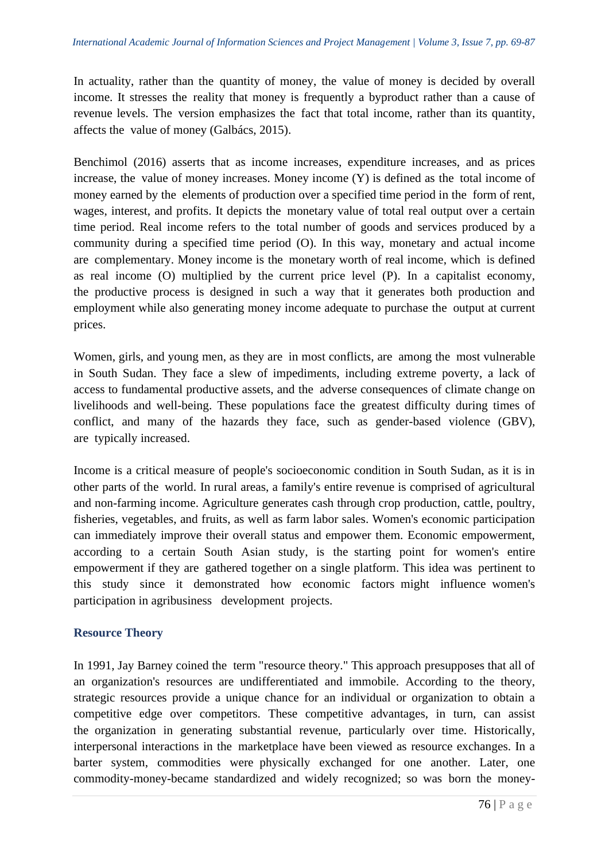In actuality, rather than the quantity of money, the value of money is decided by overall income. It stresses the reality that money is frequently a byproduct rather than a cause of revenue levels. The version emphasizes the fact that total income, rather than its quantity, affects the value of money (Galbács, 2015).

Benchimol (2016) asserts that as income increases, expenditure increases, and as prices increase, the value of money increases. Money income  $(Y)$  is defined as the total income of money earned by the elements of production over a specified time period in the form of rent, wages, interest, and profits. It depicts the monetary value of total real output over a certain time period. Real income refers to the total number of goods and services produced by a community during a specified time period (O). In this way, monetary and actual income are complementary. Money income is the monetary worth of real income, which is defined as real income  $(0)$  multiplied by the current price level  $(P)$ . In a capitalist economy, the productive process is designed in such a way that it generates both production and employment while also generating money income adequate to purchase the output at current prices.

Women, girls, and young men, as they are in most conflicts, are among the most vulnerable in South Sudan. They face a slew of impediments, including extreme poverty, a lack of access to fundamental productive assets, and the adverse consequences of climate change on livelihoods and well-being. These populations face the greatest difficulty during times of conflict, and many of the hazards they face, such as gender-based violence  $(GBV)$ , are typically increased.

Income is a critical measure of people's socioeconomic condition in South Sudan, as it is in other parts of the world. In rural areas, a family's entire revenue is comprised of agricultural and non-farming income. Agriculture generates cash through crop production, cattle, poultry, fisheries, vegetables, and fruits, as well as farm labor sales. Women's economic participation can immediately improve their overall status and empower them. Economic empowerment, according to a certain South Asian study, is the starting point for women's entire empowerment if they are gathered together on a single platform. This idea was pertinent to this study since it demonstrated how economic factors might influence women's participation in agribusiness development projects.

## **Resource Theory**

In 1991, Jay Barney coined the term "resource theory." This approach presupposes that all of an organization's resources are undifferentiated and immobile. According to the theory, strategic resources provide a unique chance for an individual or organization to obtain a competitive edge over competitors. These competitive advantages, in turn, can assist the organization in generating substantial revenue, particularly over time. Historically, interpersonal interactions in the marketplace have been viewed as resource exchanges. In a barter system, commodities were physically exchanged for one another. Later, one commodity-money-became standardized and widely recognized; so was born the money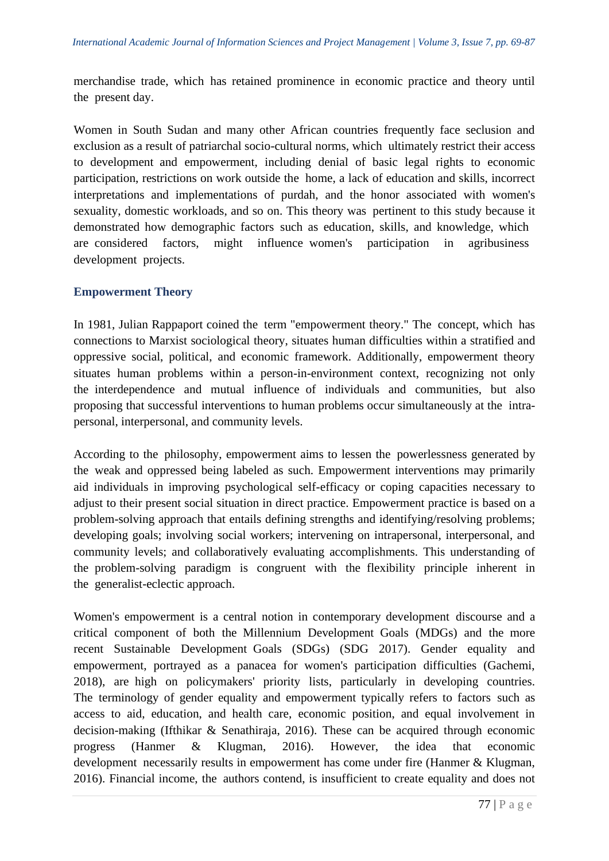merchandise trade, which has retained prominence in economic practice and theory until the present day.

Women in South Sudan and many other African countries frequently face seclusion and exclusion as a result of patriarchal socio-cultural norms, which ultimately restrict their access to development and empowerment, including denial of basic legal rights to economic participation, restrictions on work outside the home, a lack of education and skills, incorrect interpretations and implementations of purdah, and the honor associated with women's sexuality, domestic workloads, and so on. This theory was pertinent to this study because it demonstrated how demographic factors such as education, skills, and knowledge, which are considered factors, might influence women's participation in agribusiness development projects.

# **Empowerment Theory**

In 1981, Julian Rappaport coined the term "empowerment theory." The concept, which has connections to Marxist sociological theory, situates human difficulties within a stratified and oppressive social, political, and economic framework. Additionally, empowerment theory situates human problems within a person-in-environment context, recognizing not only the interdependence and mutual influence of individuals and communities, but also proposing that successful interventions to human problems occur simultaneously at the intrapersonal, interpersonal, and community levels.

According to the philosophy, empowerment aims to lessen the powerlessness generated by the weak and oppressed being labeled as such. Empowerment interventions may primarily aid individuals in improving psychological self-efficacy or coping capacities necessary to adjust to their present social situation in direct practice. Empowerment practice is based on a problem-solving approach that entails defining strengths and identifying/resolving problems; developing goals; involving social workers; intervening on intrapersonal, interpersonal, and community levels; and collaboratively evaluating accomplishments. This understanding of the problem-solving paradigm is congruent with the flexibility principle inherent in the generalist-eclectic approach.

Women's empowerment is a central notion in contemporary development discourse and a critical component of both the Millennium Development Goals (MDGs) and the more recent Sustainable Development Goals (SDGs) (SDG 2017). Gender equality and empowerment, portrayed as a panacea for women's participation difficulties (Gachemi, 2018), are high on policymakers' priority lists, particularly in developing countries. The terminology of gender equality and empowerment typically refers to factors such as access to aid, education, and health care, economic position, and equal involvement in decision-making (Ifthikar & Senathiraja, 2016). These can be acquired through economic progress (Hanmer  $\&$  Klugman, 2016). However, the idea that economic development necessarily results in empowerment has come under fire (Hanmer  $&$  Klugman, 2016). Financial income, the authors contend, is insufficient to create equality and does not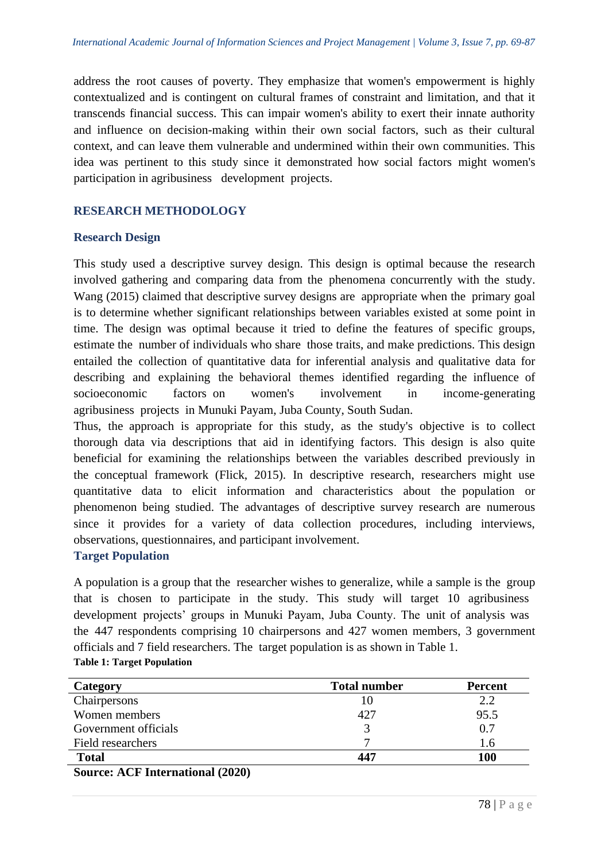address the root causes of poverty. They emphasize that women's empowerment is highly contextualized and is contingent on cultural frames of constraint and limitation, and that it transcends financial success. This can impair women's ability to exert their innate authority and influence on decision-making within their own social factors, such as their cultural context, and can leave them vulnerable and undermined within their own communities. This idea was pertinent to this study since it demonstrated how social factors might women's participation in agribusiness development projects.

# **RESEARCH METHODOLOGY**

#### **Research Design**

This study used a descriptive survey design. This design is optimal because the research involved gathering and comparing data from the phenomena concurrently with the study. Wang  $(2015)$  claimed that descriptive survey designs are appropriate when the primary goal is to determine whether significant relationships between variables existed at some point in time. The design was optimal because it tried to define the features of specific groups, estimate the number of individuals who share those traits, and make predictions. This design entailed the collection of quantitative data for inferential analysis and qualitative data for describing and explaining the behavioral themes identified regarding the influence of socioeconomic factors on women's involvement in income-generating agribusiness projects in Munuki Payam, Juba County, South Sudan.

Thus, the approach is appropriate for this study, as the study's objective is to collect thorough data via descriptions that aid in identifying factors. This design is also quite beneficial for examining the relationships between the variables described previously in the conceptual framework (Flick, 2015). In descriptive research, researchers might use quantitative data to elicit information and characteristics about the population or phenomenon being studied. The advantages of descriptive survey research are numerous since it provides for a variety of data collection procedures, including interviews, observations, questionnaires, and participant involvement.

## **Target Population**

A population is a group that the researcher wishes to generalize, while a sample is the group that is chosen to participate in the study. This study will target  $10$  agribusiness development projects' groups in Munuki Payam, Juba County. The unit of analysis was the 447 respondents comprising 10 chairpersons and 427 women members, 3 government officials and 7 field researchers. The target population is as shown in Table 1. **Table 1: Target Population**

| <b>Category</b>                             | <b>Total number</b> | <b>Percent</b> |  |
|---------------------------------------------|---------------------|----------------|--|
| Chairpersons                                | 10                  | 2.2            |  |
| Women members                               | 427                 | 95.5           |  |
| Government officials                        |                     | 0.7            |  |
| Field researchers                           |                     | l.6            |  |
| <b>Total</b>                                | 447                 | 100            |  |
| $\sqrt{10}T$ $\sqrt{2000}$<br>$\sim$ $\sim$ |                     |                |  |

**Source: ACF International (2020)**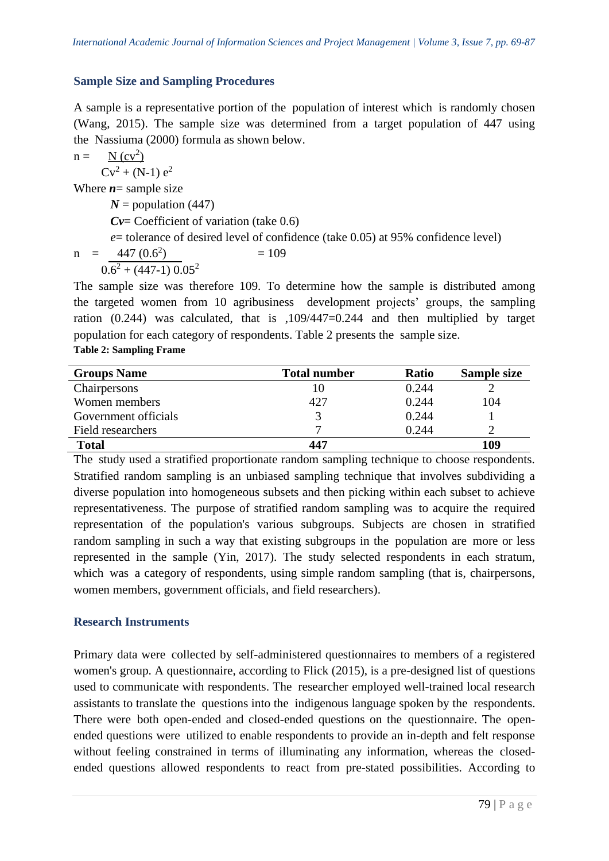# **Sample Size and Sampling Procedures**

A sample is a representative portion of the population of interest which is randomly chosen (Wang, 2015). The sample size was determined from a target population of  $447$  using the Nassiuma (2000) formula as shown below.

n = 
$$
\frac{N (cv^2)}{Cv^2 + (N-1) e^2}
$$
  
\nWhere **n** = sample size  
\n*N* = population (447)  
\n*Cv* = Coefficient of variation (take 0.6)  
\n*e* = tolerance of desired level of confidence (take 0.05) at 95% confidence level)  
\nn =  $\frac{447 (0.6^2)}{0.6^2 + (447-1) 0.05^2}$   
\nThe sample size was therefore 109. To determine how the sample is distributed

buted among the targeted women from 10 agribusiness development projects' groups, the sampling ration  $(0.244)$  was calculated, that is  $,109/447=0.244$  and then multiplied by target population for each category of respondents. Table 2 presents the sample size. **Table 2: Sampling Frame**

| <b>Groups Name</b>   | <b>Total number</b> | <b>Ratio</b> | Sample size |
|----------------------|---------------------|--------------|-------------|
| Chairpersons         | 10                  | 0.244        |             |
| Women members        | 427                 | 0.244        | 104         |
| Government officials |                     | 0.244        |             |
| Field researchers    |                     | 0.244        |             |
| <b>Total</b>         | 447                 |              | 109         |

The study used a stratified proportionate random sampling technique to choose respondents. Stratified random sampling is an unbiased sampling technique that involves subdividing a diverse population into homogeneous subsets and then picking within each subset to achieve representativeness. The purpose of stratified random sampling was to acquire the required representation of the population's various subgroups. Subjects are chosen in stratified random sampling in such a way that existing subgroups in the population are more or less represented in the sample (Yin, 2017). The study selected respondents in each stratum, which was a category of respondents, using simple random sampling (that is, chairpersons, women members, government officials, and field researchers).

## **Research Instruments**

Primary data were collected by self-administered questionnaires to members of a registered women's group. A questionnaire, according to Flick (2015), is a pre-designed list of questions used to communicate with respondents. The researcher employed well-trained local research assistants to translate the questions into the indigenous language spoken by the respondents. There were both open-ended and closed-ended questions on the questionnaire. The openended questions were utilized to enable respondents to provide an in-depth and felt response without feeling constrained in terms of illuminating any information, whereas the closedended questions allowed respondents to react from pre-stated possibilities. According to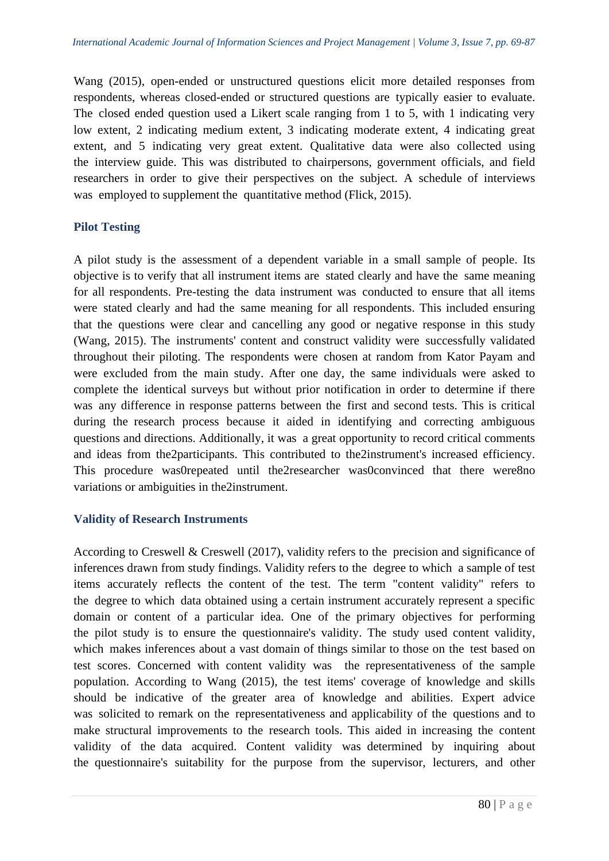Wang (2015), open-ended or unstructured questions elicit more detailed responses from respondents, whereas closed-ended or structured questions are typically easier to evaluate. The closed ended question used a Likert scale ranging from 1 to 5, with 1 indicating very low extent, 2 indicating medium extent, 3 indicating moderate extent, 4 indicating great extent, and 5 indicating very great extent. Qualitative data were also collected using the interview guide. This was distributed to chairpersons, government officials, and field researchers in order to give their perspectives on the subject. A schedule of interviews was employed to supplement the quantitative method (Flick, 2015).

## **Pilot Testing**

A pilot study is the assessment of a dependent variable in a small sample of people. Its objective is to verify that all instrument items are stated clearly and have the same meaning for all respondents. Pre-testing the data instrument was conducted to ensure that all items were stated clearly and had the same meaning for all respondents. This included ensuring that the questions were clear and cancelling any good or negative response in this study (Wang, 2015). The instruments' content and construct validity were successfully validated throughout their piloting. The respondents were chosen at random from Kator Payam and were excluded from the main study. After one day, the same individuals were asked to complete the identical surveys but without prior notification in order to determine if there was any difference in response patterns between the first and second tests. This is critical during the research process because it aided in identifying and correcting ambiguous questions and directions. Additionally, it was a great opportunity to record critical comments and ideas from the2participants. This contributed to the2instrument's increased efficiency. This procedure was0repeated until the2researcher was0convinced that there were8no variations or ambiguities in the2instrument.

## **Validity of Research Instruments**

According to Creswell & Creswell (2017), validity refers to the precision and significance of inferences drawn from study findings. Validity refers to the degree to which a sample of test items accurately reflects the content of the test. The term "content validity" refers to the degree to which data obtained using a certain instrument accurately represent a specific domain or content of a particular idea. One of the primary objectives for performing the pilot study is to ensure the questionnaire's validity. The study used content validity, which makes inferences about a vast domain of things similar to those on the test based on test scores. Concerned with content validity was the representativeness of the sample population. According to Wang  $(2015)$ , the test items' coverage of knowledge and skills should be indicative of the greater area of knowledge and abilities. Expert advice was solicited to remark on the representativeness and applicability of the questions and to make structural improvements to the research tools. This aided in increasing the content validity of the data acquired. Content validity was determined by inquiring about the questionnaire's suitability for the purpose from the supervisor, lecturers, and other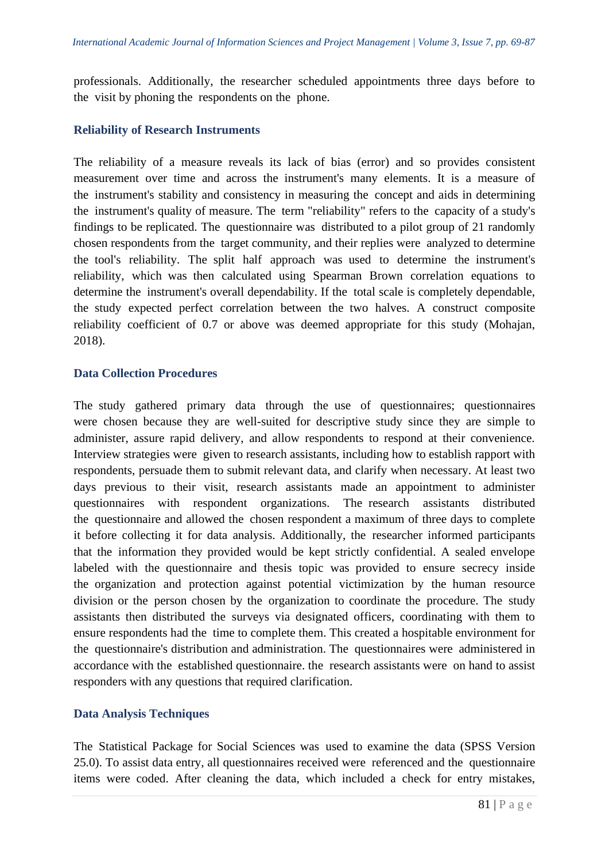professionals. Additionally, the researcher scheduled appointments three days before to the visit by phoning the respondents on the phone.

#### **Reliability of Research Instruments**

The reliability of a measure reveals its lack of bias (error) and so provides consistent measurement over time and across the instrument's many elements. It is a measure of the instrument's stability and consistency in measuring the concept and aids in determining the instrument's quality of measure. The term "reliability" refers to the capacity of a study's findings to be replicated. The questionnaire was distributed to a pilot group of 21 randomly chosen respondents from the target community, and their replies were analyzed to determine the tool's reliability. The split half approach was used to determine the instrument's reliability, which was then calculated using Spearman Brown correlation equations to determine the instrument's overall dependability. If the total scale is completely dependable, the study expected perfect correlation between the two halves. A construct composite reliability coefficient of 0.7 or above was deemed appropriate for this study (Mohajan, 2018).

#### **Data Collection Procedures**

The study gathered primary data through the use of questionnaires; questionnaires were chosen because they are well-suited for descriptive study since they are simple to administer, assure rapid delivery, and allow respondents to respond at their convenience. Interview strategies were given to research assistants, including how to establish rapport with respondents, persuade them to submit relevant data, and clarify when necessary. At least two days previous to their visit, research assistants made an appointment to administer questionnaires with respondent organizations. The research assistants distributed the questionnaire and allowed the chosen respondent a maximum of three days to complete it before collecting it for data analysis. Additionally, the researcher informed participants that the information they provided would be kept strictly confidential. A sealed envelope labeled with the questionnaire and thesis topic was provided to ensure secrecy inside the organization and protection against potential victimization by the human resource division or the person chosen by the organization to coordinate the procedure. The study assistants then distributed the surveys via designated officers, coordinating with them to ensure respondents had the time to complete them. This created a hospitable environment for the questionnaire's distribution and administration. The questionnaires were administered in accordance with the established questionnaire. the research assistants were on hand to assist responders with any questions that required clarification.

#### **Data Analysis Techniques**

The Statistical Package for Social Sciences was used to examine the data (SPSS Version 25.0). To assist data entry, all questionnaires received were referenced and the questionnaire items were coded. After cleaning the data, which included a check for entry mistakes,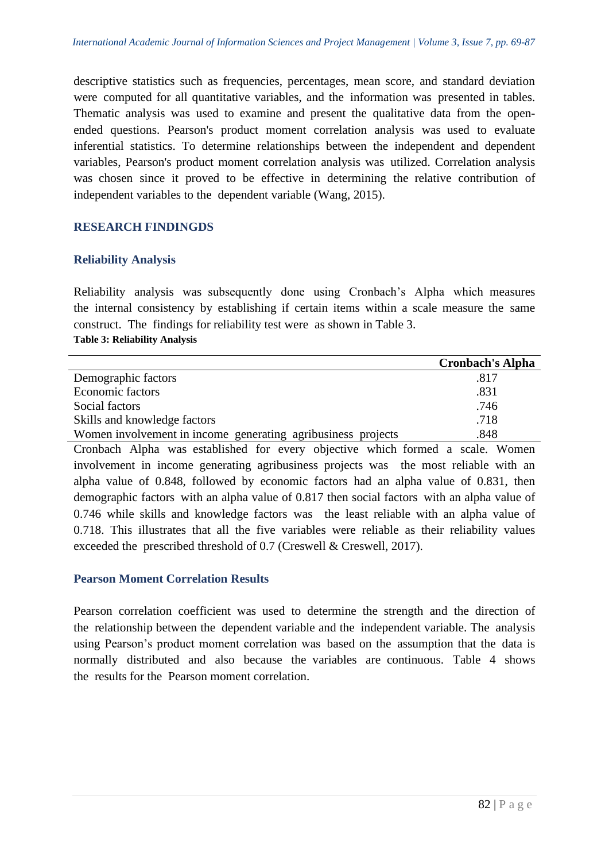descriptive statistics such as frequencies, percentages, mean score, and standard deviation were computed for all quantitative variables, and the information was presented in tables. Thematic analysis was used to examine and present the qualitative data from the openended questions. Pearson's product moment correlation analysis was used to evaluate inferential statistics. To determine relationships between the independent and dependent variables, Pearson's product moment correlation analysis was utilized. Correlation analysis was chosen since it proved to be effective in determining the relative contribution of independent variables to the dependent variable (Wang, 2015).

# **RESEARCH FINDINGDS**

#### **Reliability Analysis**

Reliability analysis was subsequently done using Cronbach's Alpha which measures the internal consistency by establishing if certain items within a scale measure the same construct. The findings for reliability test were as shown in Table 3. **Table 3: Reliability Analysis**

|                                                              | <b>Cronbach's Alpha</b> |
|--------------------------------------------------------------|-------------------------|
| Demographic factors                                          | .817                    |
| Economic factors                                             | .831                    |
| Social factors                                               | .746                    |
| Skills and knowledge factors                                 | .718                    |
| Women involvement in income generating agribusiness projects | .848                    |

Cronbach Alpha was established for every objective which formed a scale. Women involvement in income generating agribusiness projects was the most reliable with an alpha value of  $0.848$ , followed by economic factors had an alpha value of  $0.831$ , then demographic factors with an alpha value of  $0.817$  then social factors with an alpha value of  $0.746$  while skills and knowledge factors was the least reliable with an alpha value of  $0.718$ . This illustrates that all the five variables were reliable as their reliability values exceeded the prescribed threshold of  $0.7$  (Creswell & Creswell, 2017).

## **Pearson Moment Correlation Results**

Pearson correlation coefficient was used to determine the strength and the direction of the relationship between the dependent variable and the independent variable. The analysis using Pearson's product moment correlation was based on the assumption that the data is normally distributed and also because the variables are continuous. Table 4 shows the results for the Pearson moment correlation.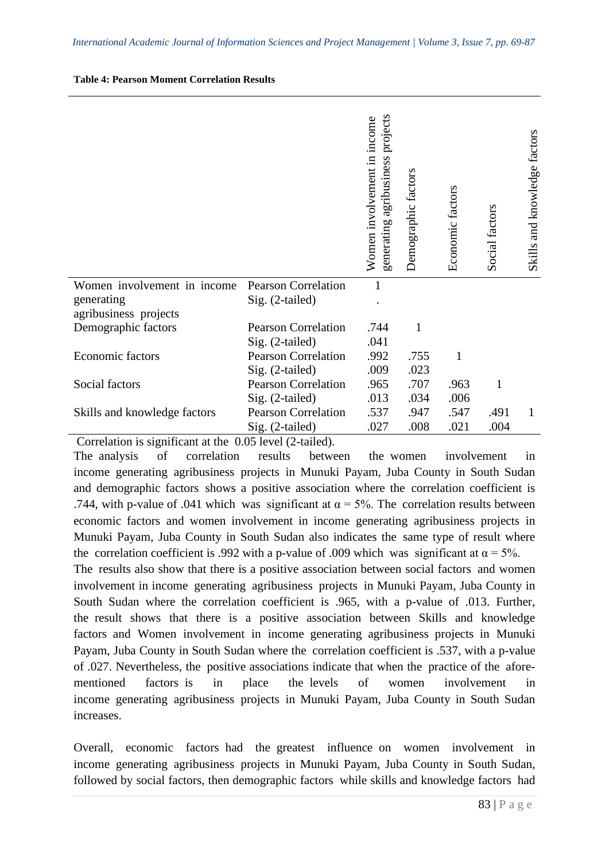| <b>Table 4: Pearson Moment Correlation Results</b> |  |
|----------------------------------------------------|--|
|----------------------------------------------------|--|

|                              |                            | projects<br>Women involvement in income<br>agribusiness<br>generating | Demographic factors | Economic factors | Social factors | Skills and knowledge factors |
|------------------------------|----------------------------|-----------------------------------------------------------------------|---------------------|------------------|----------------|------------------------------|
| Women involvement in income  | <b>Pearson Correlation</b> |                                                                       |                     |                  |                |                              |
| generating                   | Sig. (2-tailed)            |                                                                       |                     |                  |                |                              |
| agribusiness projects        |                            |                                                                       |                     |                  |                |                              |
| Demographic factors          | <b>Pearson Correlation</b> | .744                                                                  | $\mathbf{1}$        |                  |                |                              |
|                              | Sig. (2-tailed)            | .041                                                                  |                     |                  |                |                              |
| Economic factors             | <b>Pearson Correlation</b> | .992                                                                  | .755                | 1                |                |                              |
|                              | Sig. (2-tailed)            | .009                                                                  | .023                |                  |                |                              |
| Social factors               | <b>Pearson Correlation</b> | .965                                                                  | .707                | .963             | 1              |                              |
|                              | Sig. (2-tailed)            | .013                                                                  | .034                | .006             |                |                              |
| Skills and knowledge factors | <b>Pearson Correlation</b> | .537                                                                  | .947                | .547             | .491           | L                            |
|                              | Sig. (2-tailed)            | .027                                                                  | .008                | .021             | .004           |                              |

Correlation is significant at the 0.05 level (2-tailed).

The analysis of correlation results between the women involvement in income generating agribusiness projects in Munuki Payam, Juba County in South Sudan and demographic factors shows a positive association where the correlation coefficient is .744, with p-value of .041 which was significant at  $\alpha = 5\%$ . The correlation results between economic factors and women involvement in income generating agribusiness projects in Munuki Payam, Juba County in South Sudan also indicates the same type of result where the correlation coefficient is .992 with a p-value of .009 which was significant at  $\alpha = 5\%$ . The results also show that there is a positive association between social factors and women involvement in income generating agribusiness projects in Munuki Payam, Juba County in South Sudan where the correlation coefficient is .965, with a p-value of .013. Further, the result shows that there is a positive association between Skills and knowledge factors and Women involvement in income generating agribusiness projects in Munuki Payam, Juba County in South Sudan where the correlation coefficient is .537, with a p-value of .027. Nevertheless, the positive associations indicate that when the practice of the aforementioned factors is in place the levels of women involvement in income generating agribusiness projects in Munuki Payam, Juba County in South Sudan increases.

Overall, economic factors had the greatest influence on women involvement in income generating agribusiness projects in Munuki Payam, Juba County in South Sudan, followed by social factors, then demographic factors while skills and knowledge factors had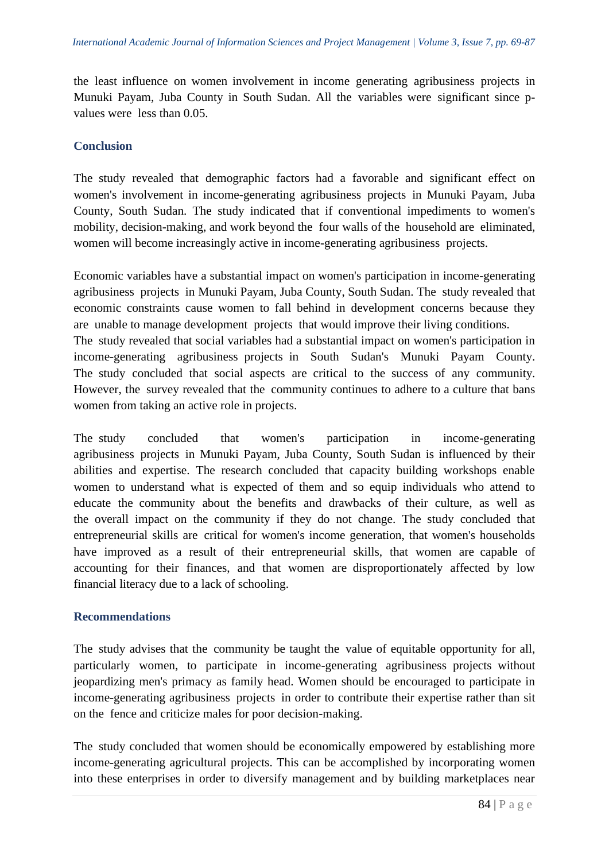the least influence on women involvement in income generating agribusiness projects in Munuki Payam, Juba County in South Sudan. All the variables were significant since pvalues were less than  $0.05$ .

#### **Conclusion**

The study revealed that demographic factors had a favorable and significant effect on women's involvement in income-generating agribusiness projects in Munuki Payam, Juba County, South Sudan. The study indicated that if conventional impediments to women's mobility, decision-making, and work beyond the four walls of the household are eliminated, women will become increasingly active in income-generating agribusiness projects.

Economic variables have a substantial impact on women's participation in income-generating agribusiness projects in Munuki Payam, Juba County, South Sudan. The study revealed that economic constraints cause women to fall behind in development concerns because they are unable to manage development projects that would improve their living conditions. The study revealed that social variables had a substantial impact on women's participation in income-generating agribusiness projects in South Sudan's Munuki Payam County. The study concluded that social aspects are critical to the success of any community. However, the survey revealed that the community continues to adhere to a culture that bans women from taking an active role in projects.

The study concluded that women's participation in income-generating agribusiness projects in Munuki Payam, Juba County, South Sudan is influenced by their abilities and expertise. The research concluded that capacity building workshops enable women to understand what is expected of them and so equip individuals who attend to educate the community about the benefits and drawbacks of their culture, as well as the overall impact on the community if they do not change. The study concluded that entrepreneurial skills are critical for women's income generation, that women's households have improved as a result of their entrepreneurial skills, that women are capable of accounting for their finances, and that women are disproportionately affected by low financial literacy due to a lack of schooling.

## **Recommendations**

The study advises that the community be taught the value of equitable opportunity for all, particularly women, to participate in income-generating agribusiness projects without jeopardizing men's primacy as family head. Women should be encouraged to participate in income-generating agribusiness projects in order to contribute their expertise rather than sit on the fence and criticize males for poor decision-making.

The study concluded that women should be economically empowered by establishing more income-generating agricultural projects. This can be accomplished by incorporating women into these enterprises in order to diversify management and by building marketplaces near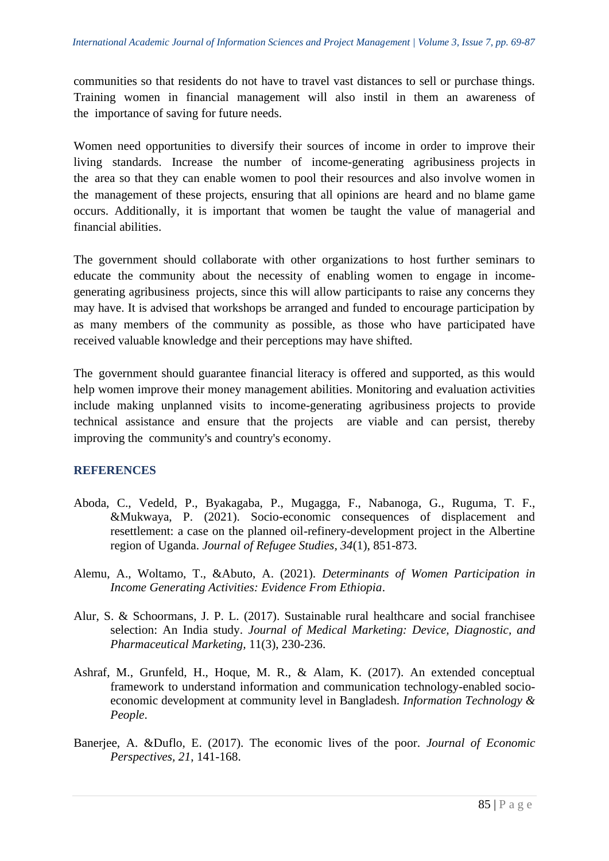communities so that residents do not have to travel vast distances to sell or purchase things. Training women in financial management will also instil in them an awareness of the importance of saving for future needs.

Women need opportunities to diversify their sources of income in order to improve their living standards. Increase the number of income-generating agribusiness projects in the area so that they can enable women to pool their resources and also involve women in the management of these projects, ensuring that all opinions are heard and no blame game occurs. Additionally, it is important that women be taught the value of managerial and financial abilities.

The government should collaborate with other organizations to host further seminars to educate the community about the necessity of enabling women to engage in incomegenerating agribusiness projects, since this will allow participants to raise any concerns they may have. It is advised that workshops be arranged and funded to encourage participation by as many members of the community as possible, as those who have participated have received valuable knowledge and their perceptions may have shifted.

The government should guarantee financial literacy is offered and supported, as this would help women improve their money management abilities. Monitoring and evaluation activities include making unplanned visits to income-generating agribusiness projects to provide technical assistance and ensure that the projects are viable and can persist, thereby improving the community's and country's economy.

## **REFERENCES**

- Aboda, C., Vedeld, P., Byakagaba, P., Mugagga, F., Nabanoga, G., Ruguma, T. F., &Mukwaya, P. (2021). Socio-economic consequences of displacement and resettlement: a case on the planned oil-refinery-development project in the Albertine region of Uganda. *Journal of Refugee Studies*, *34*(1), 851-873.
- Alemu, A., Woltamo, T., &Abuto, A. (2021). *Determinants of Women Participation in Income Generating Activities: Evidence From Ethiopia*.
- Alur, S. & Schoormans, J. P. L. (2017). Sustainable rural healthcare and social franchisee selection: An India study. *Journal of Medical Marketing: Device, Diagnostic, and Pharmaceutical Marketing,* 11(3), 230-236.
- Ashraf, M., Grunfeld, H., Hoque, M. R., & Alam, K. (2017). An extended conceptual framework to understand information and communication technology-enabled socioeconomic development at community level in Bangladesh. *Information Technology & People*.
- Banerjee, A. &Duflo, E. (2017). The economic lives of the poor. *Journal of Economic Perspectives, 21*, 141-168.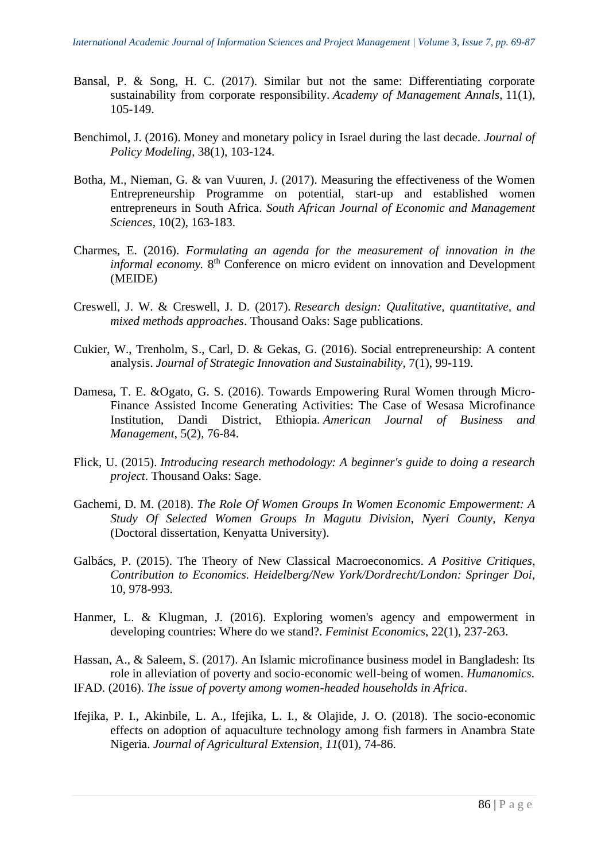- Bansal, P. & Song, H. C. (2017). Similar but not the same: Differentiating corporate sustainability from corporate responsibility. *Academy of Management Annals*, 11(1), 105-149.
- Benchimol, J. (2016). Money and monetary policy in Israel during the last decade. *Journal of Policy Modeling*, 38(1), 103-124.
- Botha, M., Nieman, G. & van Vuuren, J. (2017). Measuring the effectiveness of the Women Entrepreneurship Programme on potential, start-up and established women entrepreneurs in South Africa. *South African Journal of Economic and Management Sciences,* 10(2), 163-183.
- Charmes, E. (2016). *Formulating an agenda for the measurement of innovation in the informal economy*. 8<sup>th</sup> Conference on micro evident on innovation and Development (MEIDE)
- Creswell, J. W. & Creswell, J. D. (2017). *Research design: Qualitative, quantitative, and mixed methods approaches*. Thousand Oaks: Sage publications.
- Cukier, W., Trenholm, S., Carl, D. & Gekas, G. (2016). Social entrepreneurship: A content analysis. *Journal of Strategic Innovation and Sustainability,* 7(1), 99-119.
- Damesa, T. E. &Ogato, G. S. (2016). Towards Empowering Rural Women through Micro-Finance Assisted Income Generating Activities: The Case of Wesasa Microfinance Institution, Dandi District, Ethiopia. *American Journal of Business and Management*, 5(2), 76-84.
- Flick, U. (2015). *Introducing research methodology: A beginner's guide to doing a research project*. Thousand Oaks: Sage.
- Gachemi, D. M. (2018). *The Role Of Women Groups In Women Economic Empowerment: A Study Of Selected Women Groups In Magutu Division, Nyeri County, Kenya* (Doctoral dissertation, Kenyatta University).
- Galbács, P. (2015). The Theory of New Classical Macroeconomics. *A Positive Critiques, Contribution to Economics. Heidelberg/New York/Dordrecht/London: Springer Doi*, 10, 978-993.
- Hanmer, L. & Klugman, J. (2016). Exploring women's agency and empowerment in developing countries: Where do we stand?. *Feminist Economics*, 22(1), 237-263.

Hassan, A., & Saleem, S. (2017). An Islamic microfinance business model in Bangladesh: Its role in alleviation of poverty and socio-economic well-being of women. *Humanomics*. IFAD. (2016). *The issue of poverty among women-headed households in Africa*.

Ifejika, P. I., Akinbile, L. A., Ifejika, L. I., & Olajide, J. O. (2018). The socio-economic effects on adoption of aquaculture technology among fish farmers in Anambra State Nigeria. *Journal of Agricultural Extension*, *11*(01), 74-86.